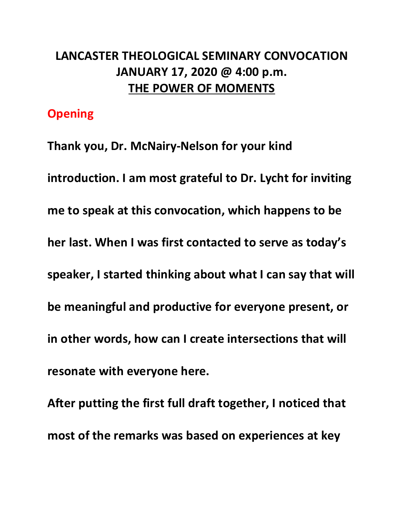# **LANCASTER THEOLOGICAL SEMINARY CONVOCATION JANUARY 17, 2020 @ 4:00 p.m. THE POWER OF MOMENTS**

## **Opening**

**Thank you, Dr. McNairy-Nelson for your kind introduction. I am most grateful to Dr. Lycht for inviting me to speak at this convocation, which happens to be her last. When I was first contacted to serve as today's speaker, I started thinking about what I can say that will be meaningful and productive for everyone present, or in other words, how can I create intersections that will resonate with everyone here.** 

**After putting the first full draft together, I noticed that most of the remarks was based on experiences at key**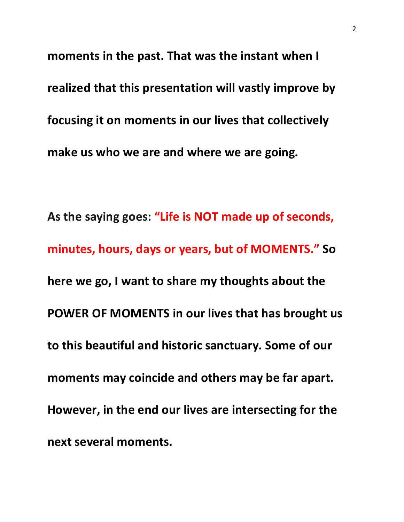**moments in the past. That was the instant when I realized that this presentation will vastly improve by focusing it on moments in our lives that collectively make us who we are and where we are going.**

**As the saying goes: "Life is NOT made up of seconds, minutes, hours, days or years, but of MOMENTS." So here we go, I want to share my thoughts about the POWER OF MOMENTS in our lives that has brought us to this beautiful and historic sanctuary. Some of our moments may coincide and others may be far apart. However, in the end our lives are intersecting for the next several moments.**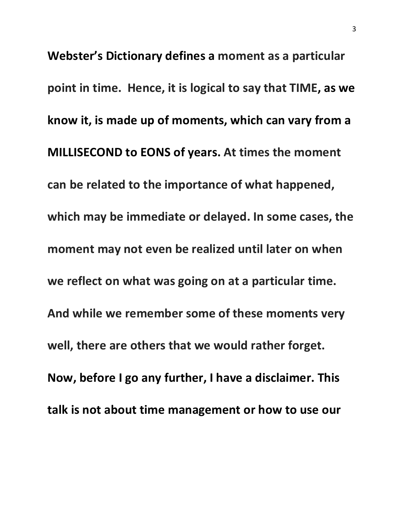**Webster's Dictionary defines a moment as a particular point in time. Hence, it is logical to say that TIME, as we know it, is made up of moments, which can vary from a MILLISECOND to EONS of years. At times the moment can be related to the importance of what happened, which may be immediate or delayed. In some cases, the moment may not even be realized until later on when we reflect on what was going on at a particular time. And while we remember some of these moments very well, there are others that we would rather forget. Now, before I go any further, I have a disclaimer. This talk is not about time management or how to use our**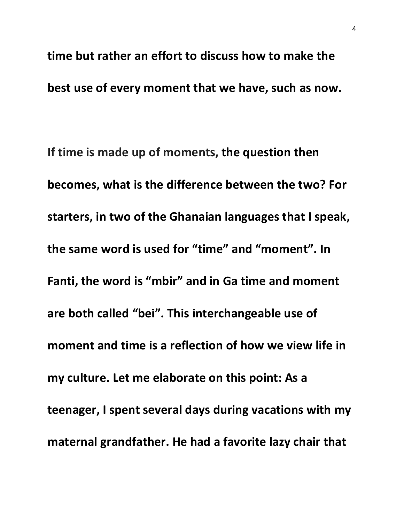**time but rather an effort to discuss how to make the best use of every moment that we have, such as now.** 

**If time is made up of moments, the question then becomes, what is the difference between the two? For starters, in two of the Ghanaian languages that I speak, the same word is used for "time" and "moment". In Fanti, the word is "mbir" and in Ga time and moment are both called "bei". This interchangeable use of moment and time is a reflection of how we view life in my culture. Let me elaborate on this point: As a teenager, I spent several days during vacations with my maternal grandfather. He had a favorite lazy chair that**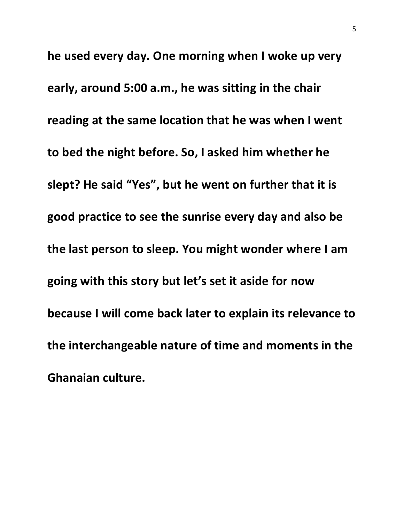**he used every day. One morning when I woke up very early, around 5:00 a.m., he was sitting in the chair reading at the same location that he was when I went to bed the night before. So, I asked him whether he slept? He said "Yes", but he went on further that it is good practice to see the sunrise every day and also be the last person to sleep. You might wonder where I am going with this story but let's set it aside for now because I will come back later to explain its relevance to the interchangeable nature of time and moments in the Ghanaian culture.**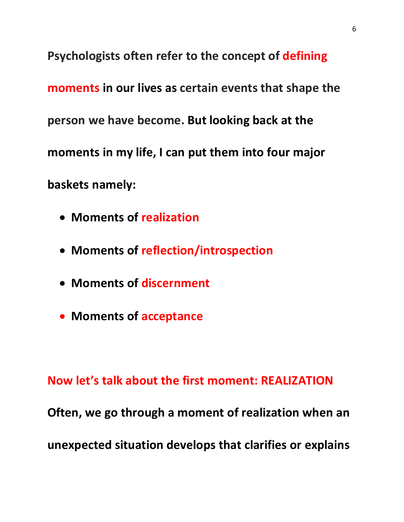**Psychologists often refer to the concept of defining moments in our lives as certain events that shape the person we have become. But looking back at the moments in my life, I can put them into four major baskets namely:**

- **Moments of realization**
- **Moments of reflection/introspection**
- **Moments of discernment**
- **Moments of acceptance**

**Now let's talk about the first moment: REALIZATION Often, we go through a moment of realization when an unexpected situation develops that clarifies or explains**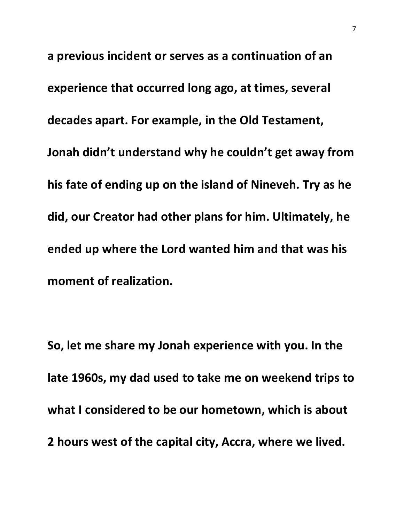**a previous incident or serves as a continuation of an experience that occurred long ago, at times, several decades apart. For example, in the Old Testament, Jonah didn't understand why he couldn't get away from his fate of ending up on the island of Nineveh. Try as he did, our Creator had other plans for him. Ultimately, he ended up where the Lord wanted him and that was his moment of realization.** 

**So, let me share my Jonah experience with you. In the late 1960s, my dad used to take me on weekend trips to what I considered to be our hometown, which is about 2 hours west of the capital city, Accra, where we lived.**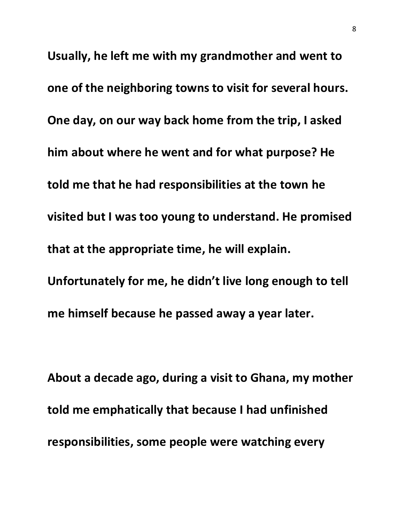**Usually, he left me with my grandmother and went to one of the neighboring towns to visit for several hours. One day, on our way back home from the trip, I asked him about where he went and for what purpose? He told me that he had responsibilities at the town he visited but I was too young to understand. He promised that at the appropriate time, he will explain. Unfortunately for me, he didn't live long enough to tell me himself because he passed away a year later.** 

**About a decade ago, during a visit to Ghana, my mother told me emphatically that because I had unfinished responsibilities, some people were watching every**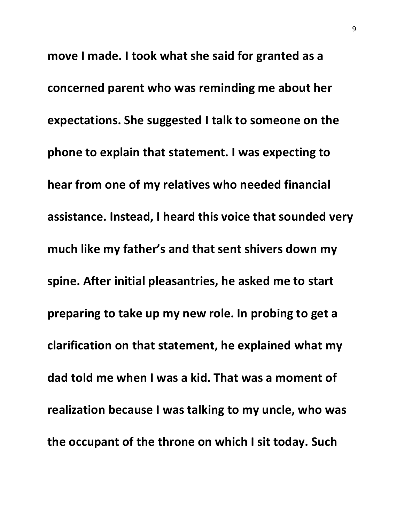**move I made. I took what she said for granted as a concerned parent who was reminding me about her expectations. She suggested I talk to someone on the phone to explain that statement. I was expecting to hear from one of my relatives who needed financial assistance. Instead, I heard this voice that sounded very much like my father's and that sent shivers down my spine. After initial pleasantries, he asked me to start preparing to take up my new role. In probing to get a clarification on that statement, he explained what my dad told me when I was a kid. That was a moment of realization because I was talking to my uncle, who was the occupant of the throne on which I sit today. Such**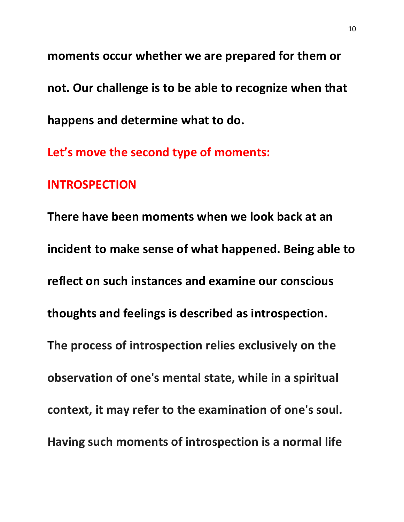**moments occur whether we are prepared for them or not. Our challenge is to be able to recognize when that happens and determine what to do.**

**Let's move the second type of moments:** 

### **INTROSPECTION**

**There have been moments when we look back at an incident to make sense of what happened. Being able to reflect on such instances and examine our conscious thoughts and feelings is described as introspection. The process of introspection relies exclusively on the observation of one's mental state, while in a spiritual context, it may refer to the examination of one's soul. Having such moments of introspection is a normal life**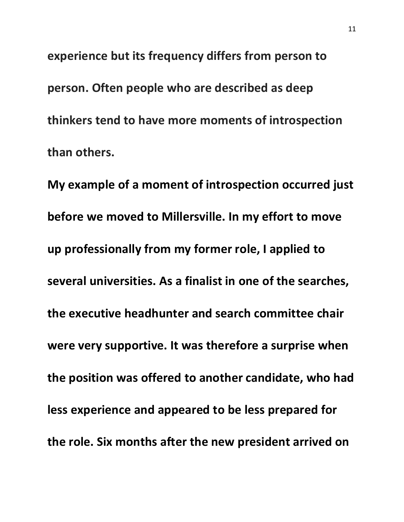**experience but its frequency differs from person to person. Often people who are described as deep thinkers tend to have more moments of introspection than others.** 

**My example of a moment of introspection occurred just before we moved to Millersville. In my effort to move up professionally from my former role, I applied to several universities. As a finalist in one of the searches, the executive headhunter and search committee chair were very supportive. It was therefore a surprise when the position was offered to another candidate, who had less experience and appeared to be less prepared for the role. Six months after the new president arrived on**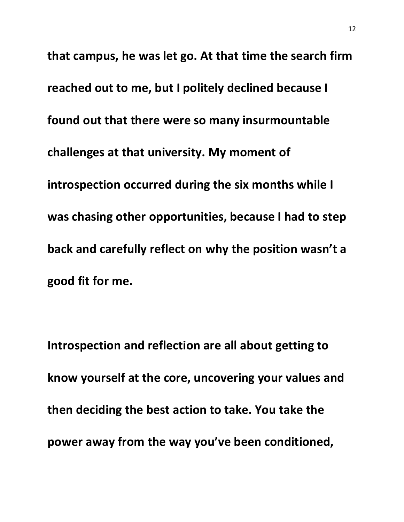**that campus, he was let go. At that time the search firm reached out to me, but I politely declined because I found out that there were so many insurmountable challenges at that university. My moment of introspection occurred during the six months while I was chasing other opportunities, because I had to step back and carefully reflect on why the position wasn't a good fit for me.** 

**Introspection and reflection are all about getting to know yourself at the core, uncovering your values and then deciding the best action to take. You take the power away from the way you've been conditioned,**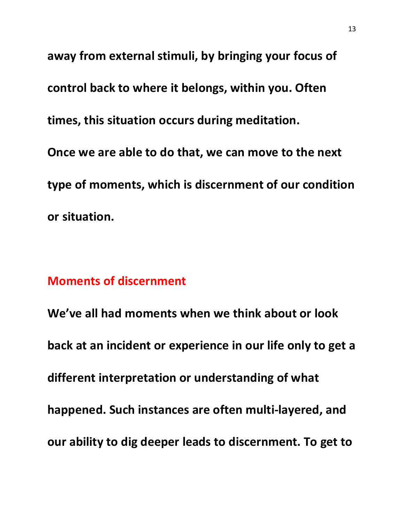**away from external stimuli, by bringing your focus of control back to where it belongs, within you. Often times, this situation occurs during meditation. Once we are able to do that, we can move to the next type of moments, which is discernment of our condition or situation.** 

#### **Moments of discernment**

**We've all had moments when we think about or look back at an incident or experience in our life only to get a different interpretation or understanding of what happened. Such instances are often multi-layered, and our ability to dig deeper leads to discernment. To get to**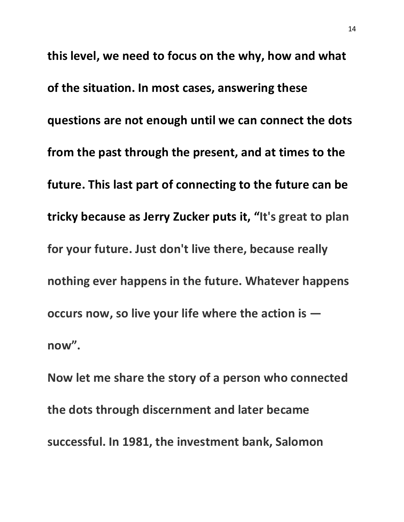**this level, we need to focus on the why, how and what of the situation. In most cases, answering these questions are not enough until we can connect the dots from the past through the present, and at times to the future. This last part of connecting to the future can be tricky because as Jerry Zucker puts it, "It's great to plan for your future. Just don't live there, because really nothing ever happens in the future. Whatever happens occurs now, so live your life where the action is now".**

**Now let me share the story of a person who connected the dots through discernment and later became successful. In 1981, the investment bank, Salomon**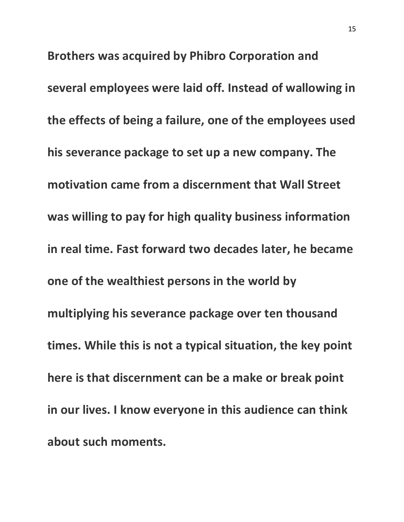**Brothers was acquired by Phibro Corporation and several employees were laid off. Instead of wallowing in the effects of being a failure, one of the employees used his severance package to set up a new company. The motivation came from a discernment that Wall Street was willing to pay for high quality business information in real time. Fast forward two decades later, he became one of the wealthiest persons in the world by multiplying his severance package over ten thousand times. While this is not a typical situation, the key point here is that discernment can be a make or break point in our lives. I know everyone in this audience can think about such moments.**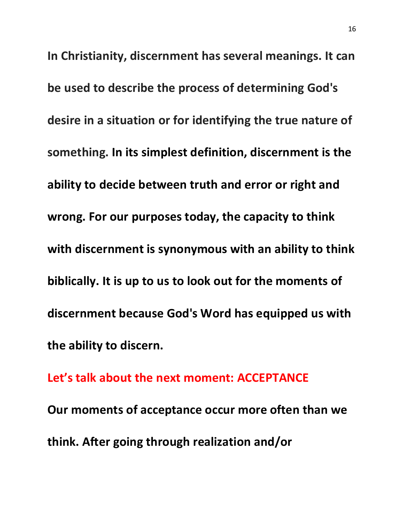**In Christianity, discernment has several meanings. It can be used to describe the process of determining God's desire in a situation or for identifying the true nature of something. In its simplest definition, discernment is the ability to decide between truth and error or right and wrong. For our purposes today, the capacity to think with discernment is synonymous with an ability to think biblically. It is up to us to look out for the moments of discernment because God's Word has equipped us with the ability to discern.**

**Let's talk about the next moment: ACCEPTANCE Our moments of acceptance occur more often than we think. After going through realization and/or**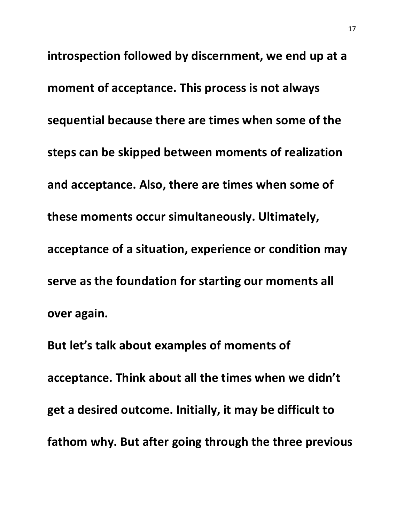**introspection followed by discernment, we end up at a moment of acceptance. This process is not always sequential because there are times when some of the steps can be skipped between moments of realization and acceptance. Also, there are times when some of these moments occur simultaneously. Ultimately, acceptance of a situation, experience or condition may serve as the foundation for starting our moments all over again.** 

**But let's talk about examples of moments of acceptance. Think about all the times when we didn't get a desired outcome. Initially, it may be difficult to fathom why. But after going through the three previous**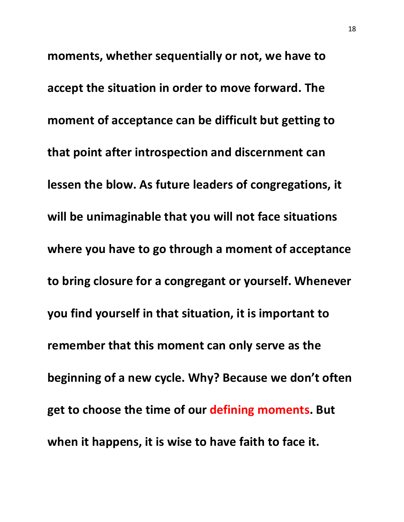**moments, whether sequentially or not, we have to accept the situation in order to move forward. The moment of acceptance can be difficult but getting to that point after introspection and discernment can lessen the blow. As future leaders of congregations, it will be unimaginable that you will not face situations where you have to go through a moment of acceptance to bring closure for a congregant or yourself. Whenever you find yourself in that situation, it is important to remember that this moment can only serve as the beginning of a new cycle. Why? Because we don't often get to choose the time of our defining moments. But when it happens, it is wise to have faith to face it.**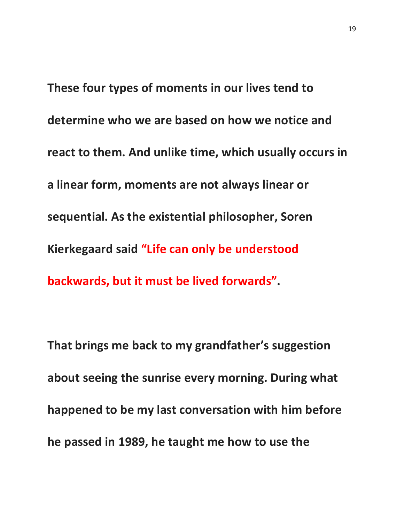**These four types of moments in our lives tend to determine who we are based on how we notice and react to them. And unlike time, which usually occurs in a linear form, moments are not always linear or sequential. As the existential philosopher, Soren Kierkegaard said "Life can only be understood backwards, but it must be lived forwards".** 

**That brings me back to my grandfather's suggestion about seeing the sunrise every morning. During what happened to be my last conversation with him before he passed in 1989, he taught me how to use the**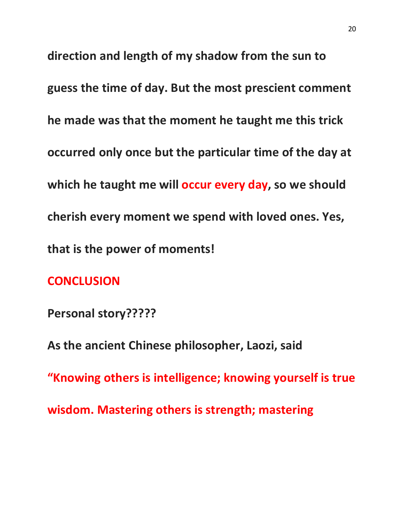**direction and length of my shadow from the sun to guess the time of day. But the most prescient comment he made was that the moment he taught me this trick occurred only once but the particular time of the day at which he taught me will occur every day, so we should cherish every moment we spend with loved ones. Yes, that is the power of moments!**

## **CONCLUSION**

**Personal story?????**

**As the ancient Chinese philosopher, Laozi, said**

**"Knowing others is intelligence; knowing yourself is true** 

**wisdom. Mastering others is strength; mastering**